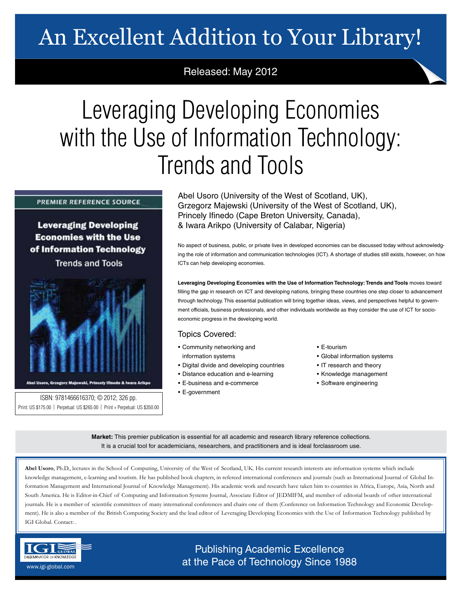# An Excellent Addition to Your Library!

## Released: May 2012

# Leveraging Developing Economies with the Use of Information Technology: Trends and Tools

## **PREMIER REFERENCE SOURCE**

**Leveraging Developing Economies with the Use** of Information Technology

**Trends and Tools** 



Abel Usoro, Grzegorz Majewski, Princely Ifinedo & Iwara Arikpo

ISBN: 9781466616370; © 2012; 326 pp. Print: US \$175.00 | Perpetual: US \$265.00 | Print + Perpetual: US \$350.00 Abel Usoro (University of the West of Scotland, UK), Grzegorz Majewski (University of the West of Scotland, UK), Princely Ifinedo (Cape Breton University, Canada), & Iwara Arikpo (University of Calabar, Nigeria)

No aspect of business, public, or private lives in developed economies can be discussed today without acknowledging the role of information and communication technologies (ICT). A shortage of studies still exists, however, on how ICTs can help developing economies.

**Leveraging Developing Economies with the Use of Information Technology: Trends and Tools** moves toward filling the gap in research on ICT and developing nations, bringing these countries one step closer to advancement through technology. This essential publication will bring together ideas, views, and perspectives helpful to government officials, business professionals, and other individuals worldwide as they consider the use of ICT for socioeconomic progress in the developing world.

## Topics Covered:

- Community networking and information systems
- Digital divide and developing countries
- Distance education and e-learning
- E-business and e-commerce
- E-government

#### • E-tourism

- Global information systems
- IT research and theory
- Knowledge management
- Software engineering

**Market:** This premier publication is essential for all academic and research library reference collections. It is a crucial tool for academicians, researchers, and practitioners and is ideal forclassroom use.

**Abel Usoro**, Ph.D., lectures in the School of Computing, University of the West of Scotland, UK. His current research interests are information systems which include knowledge management, e-learning and tourism. He has published book chapters, in refereed international conferences and journals (such as International Journal of Global Information Management and International Journal of Knowledge Management). His academic work and research have taken him to countries in Africa, Europe, Asia, North and South America. He is Editor-in-Chief of Computing and Information Systems Journal, Associate Editor of JEDMIFM, and member of editorial boards of other international journals. He is a member of scientific committees of many international conferences and chairs one of them (Conference on Information Technology and Economic Development). He is also a member of the British Computing Society and the lead editor of Leveraging Developing Economies with the Use of Information Technology published by IGI Global. Contact: .



Publishing Academic Excellence **ALSEMINATOR OF KNOWLEDGE CONCEDUTE CONCEDUTE CONCEDUTE CONCEDUTE CONCEDUTE CONCEDUTE CONCEDUTE CONCEDUTE CONCE**